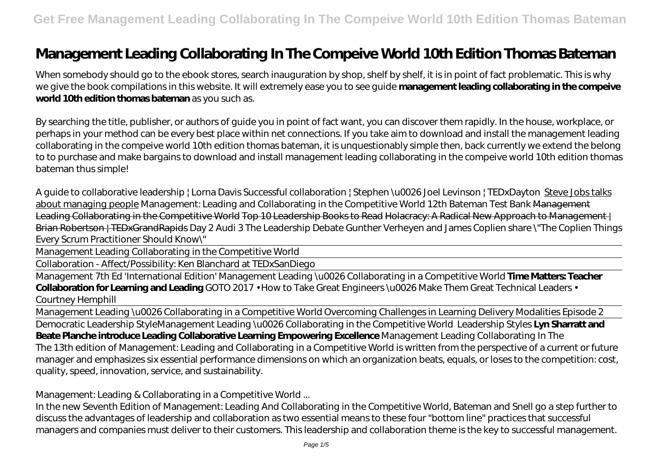## **Management Leading Collaborating In The Compeive World 10th Edition Thomas Bateman**

When somebody should go to the ebook stores, search inauguration by shop, shelf by shelf, it is in point of fact problematic. This is why we give the book compilations in this website. It will extremely ease you to see guide **management leading collaborating in the compeive world 10th edition thomas bateman** as you such as.

By searching the title, publisher, or authors of guide you in point of fact want, you can discover them rapidly. In the house, workplace, or perhaps in your method can be every best place within net connections. If you take aim to download and install the management leading collaborating in the compeive world 10th edition thomas bateman, it is unquestionably simple then, back currently we extend the belong to to purchase and make bargains to download and install management leading collaborating in the compeive world 10th edition thomas bateman thus simple!

A guide to collaborative leadership | Lorna Davis *Successful collaboration | Stephen \u0026 Joel Levinson | TEDxDayton* Steve Jobs talks about managing people *Management: Leading and Collaborating in the Competitive World 12th Bateman Test Bank* Management Leading Collaborating in the Competitive World Top 10 Leadership Books to Read Holacracy: A Radical New Approach to Management | Brian Robertson | TEDxGrandRapids *Day 2 Audi 3 The Leadership Debate Gunther Verheyen and James Coplien share \"The Coplien Things Every Scrum Practitioner Should Know\"*

Management Leading Collaborating in the Competitive World

Collaboration - Affect/Possibility: Ken Blanchard at TEDxSanDiego

Management 7th Ed 'International Edition' Management Leading \u0026 Collaborating in a Competitive World **Time Matters: Teacher Collaboration for Learning and Leading** *GOTO 2017 • How to Take Great Engineers \u0026 Make Them Great Technical Leaders • Courtney Hemphill*

Management Leading \u0026 Collaborating in a Competitive World *Overcoming Challenges in Learning Delivery Modalities Episode 2* Democratic Leadership Style*Management Leading \u0026 Collaborating in the Competitive World Leadership Styles* **Lyn Sharratt and Beate Planche introduce Leading Collaborative Learning Empowering Excellence** Management Leading Collaborating In The The 13th edition of Management: Leading and Collaborating in a Competitive World is written from the perspective of a current or future manager and emphasizes six essential performance dimensions on which an organization beats, equals, or loses to the competition: cost, quality, speed, innovation, service, and sustainability.

Management: Leading & Collaborating in a Competitive World ...

In the new Seventh Edition of Management: Leading And Collaborating in the Competitive World, Bateman and Snell go a step further to discuss the advantages of leadership and collaboration as two essential means to these four "bottom line" practices that successful managers and companies must deliver to their customers. This leadership and collaboration theme is the key to successful management.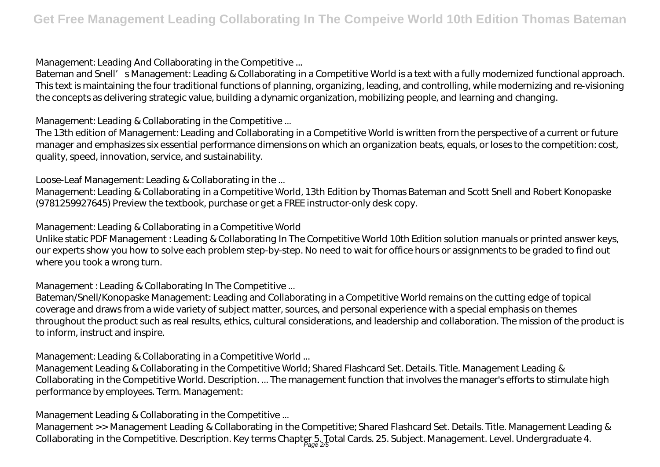Management: Leading And Collaborating in the Competitive ...

Bateman and Snell' s Management: Leading & Collaborating in a Competitive World is a text with a fully modernized functional approach. This text is maintaining the four traditional functions of planning, organizing, leading, and controlling, while modernizing and re-visioning the concepts as delivering strategic value, building a dynamic organization, mobilizing people, and learning and changing.

Management: Leading & Collaborating in the Competitive ...

The 13th edition of Management: Leading and Collaborating in a Competitive World is written from the perspective of a current or future manager and emphasizes six essential performance dimensions on which an organization beats, equals, or loses to the competition: cost, quality, speed, innovation, service, and sustainability.

Loose-Leaf Management: Leading & Collaborating in the ...

Management: Leading & Collaborating in a Competitive World, 13th Edition by Thomas Bateman and Scott Snell and Robert Konopaske (9781259927645) Preview the textbook, purchase or get a FREE instructor-only desk copy.

Management: Leading & Collaborating in a Competitive World

Unlike static PDF Management : Leading & Collaborating In The Competitive World 10th Edition solution manuals or printed answer keys, our experts show you how to solve each problem step-by-step. No need to wait for office hours or assignments to be graded to find out where you took a wrong turn.

Management : Leading & Collaborating In The Competitive ...

Bateman/Snell/Konopaske Management: Leading and Collaborating in a Competitive World remains on the cutting edge of topical coverage and draws from a wide variety of subject matter, sources, and personal experience with a special emphasis on themes throughout the product such as real results, ethics, cultural considerations, and leadership and collaboration. The mission of the product is to inform, instruct and inspire.

Management: Leading & Collaborating in a Competitive World ...

Management Leading & Collaborating in the Competitive World; Shared Flashcard Set. Details. Title. Management Leading & Collaborating in the Competitive World. Description. ... The management function that involves the manager's efforts to stimulate high performance by employees. Term. Management:

Management Leading & Collaborating in the Competitive ...

Management >> Management Leading & Collaborating in the Competitive; Shared Flashcard Set. Details. Title. Management Leading & Collaborating in the Competitive. Description. Key terms Chapter 5. Total Cards. 25. Subject. Management. Level. Undergraduate 4.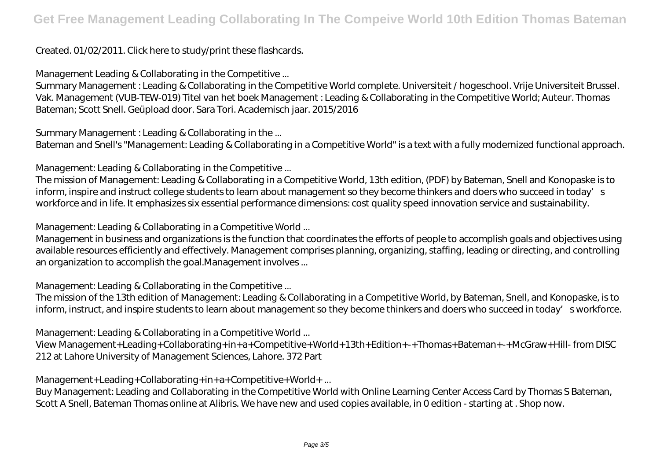## Created. 01/02/2011. Click here to study/print these flashcards.

Management Leading & Collaborating in the Competitive ...

Summary Management : Leading & Collaborating in the Competitive World complete. Universiteit / hogeschool. Vrije Universiteit Brussel. Vak. Management (VUB-TEW-019) Titel van het boek Management : Leading & Collaborating in the Competitive World; Auteur. Thomas Bateman; Scott Snell. Geüpload door. Sara Tori. Academisch jaar. 2015/2016

Summary Management : Leading & Collaborating in the ...

Bateman and Snell's "Management: Leading & Collaborating in a Competitive World" is a text with a fully modernized functional approach.

Management: Leading & Collaborating in the Competitive ...

The mission of Management: Leading & Collaborating in a Competitive World, 13th edition, (PDF) by Bateman, Snell and Konopaske is to inform, inspire and instruct college students to learn about management so they become thinkers and doers who succeed in today's workforce and in life. It emphasizes six essential performance dimensions: cost quality speed innovation service and sustainability.

Management: Leading & Collaborating in a Competitive World ...

Management in business and organizations is the function that coordinates the efforts of people to accomplish goals and objectives using available resources efficiently and effectively. Management comprises planning, organizing, staffing, leading or directing, and controlling an organization to accomplish the goal.Management involves ...

Management: Leading & Collaborating in the Competitive ...

The mission of the 13th edition of Management: Leading & Collaborating in a Competitive World, by Bateman, Snell, and Konopaske, is to inform, instruct, and inspire students to learn about management so they become thinkers and doers who succeed in today's workforce.

Management: Leading & Collaborating in a Competitive World ...

View Management+Leading+Collaborating+in+a+Competitive+World+13th+Edition+-+Thomas+Bateman+-+McGraw+Hill- from DISC 212 at Lahore University of Management Sciences, Lahore. 372 Part

Management+Leading+Collaborating+in+a+Competitive+World+ ...

Buy Management: Leading and Collaborating in the Competitive World with Online Learning Center Access Card by Thomas S Bateman, Scott A Snell, Bateman Thomas online at Alibris. We have new and used copies available, in 0 edition - starting at . Shop now.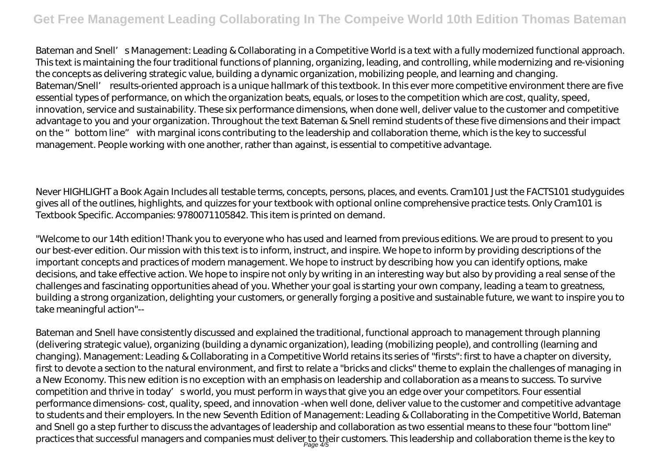Bateman and Snell' s Management: Leading & Collaborating in a Competitive World is a text with a fully modernized functional approach. This text is maintaining the four traditional functions of planning, organizing, leading, and controlling, while modernizing and re-visioning the concepts as delivering strategic value, building a dynamic organization, mobilizing people, and learning and changing. Bateman/Snell' results-oriented approach is a unique hallmark of this textbook. In this ever more competitive environment there are five essential types of performance, on which the organization beats, equals, or loses to the competition which are cost, quality, speed, innovation, service and sustainability. These six performance dimensions, when done well, deliver value to the customer and competitive advantage to you and your organization. Throughout the text Bateman & Snell remind students of these five dimensions and their impact on the "bottom line" with marginal icons contributing to the leadership and collaboration theme, which is the key to successful management. People working with one another, rather than against, is essential to competitive advantage.

Never HIGHLIGHT a Book Again Includes all testable terms, concepts, persons, places, and events. Cram101 Just the FACTS101 studyguides gives all of the outlines, highlights, and quizzes for your textbook with optional online comprehensive practice tests. Only Cram101 is Textbook Specific. Accompanies: 9780071105842. This item is printed on demand.

"Welcome to our 14th edition! Thank you to everyone who has used and learned from previous editions. We are proud to present to you our best-ever edition. Our mission with this text is to inform, instruct, and inspire. We hope to inform by providing descriptions of the important concepts and practices of modern management. We hope to instruct by describing how you can identify options, make decisions, and take effective action. We hope to inspire not only by writing in an interesting way but also by providing a real sense of the challenges and fascinating opportunities ahead of you. Whether your goal is starting your own company, leading a team to greatness, building a strong organization, delighting your customers, or generally forging a positive and sustainable future, we want to inspire you to take meaningful action"--

Bateman and Snell have consistently discussed and explained the traditional, functional approach to management through planning (delivering strategic value), organizing (building a dynamic organization), leading (mobilizing people), and controlling (learning and changing). Management: Leading & Collaborating in a Competitive World retains its series of "firsts": first to have a chapter on diversity, first to devote a section to the natural environment, and first to relate a "bricks and clicks" theme to explain the challenges of managing in a New Economy. This new edition is no exception with an emphasis on leadership and collaboration as a means to success. To survive competition and thrive in today' sworld, you must perform in ways that give you an edge over your competitors. Four essential performance dimensions- cost, quality, speed, and innovation -when well done, deliver value to the customer and competitive advantage to students and their employers. In the new Seventh Edition of Management: Leading & Collaborating in the Competitive World, Bateman and Snell go a step further to discuss the advantages of leadership and collaboration as two essential means to these four "bottom line" practices that successful managers and companies must deliver to their customers. This leadership and collaboration theme is the key to